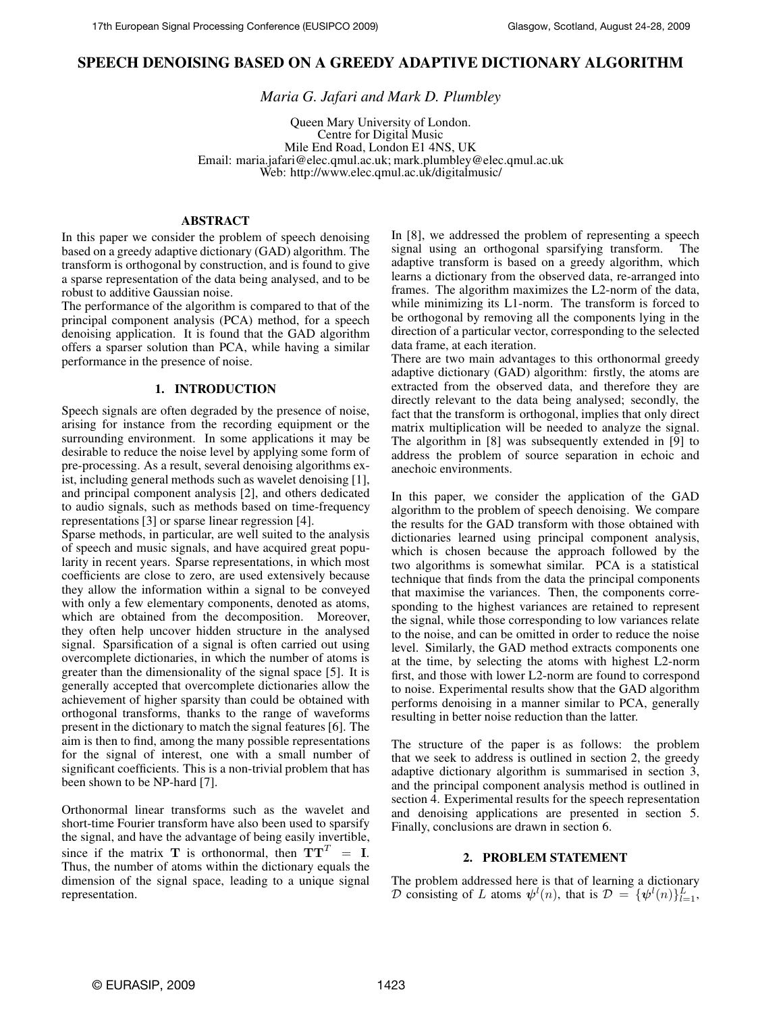# **SPEECH DENOISING BASED ON A GREEDY ADAPTIVE DICTIONARY ALGORITHM**

*Maria G. Jafari and Mark D. Plumbley*

Queen Mary University of London. Centre for Digital Music Mile End Road, London E1 4NS, UK Email: maria.jafari@elec.qmul.ac.uk; mark.plumbley@elec.qmul.ac.uk Web: http://www.elec.qmul.ac.uk/digitalmusic/

### **ABSTRACT**

In this paper we consider the problem of speech denoising based on a greedy adaptive dictionary (GAD) algorithm. The transform is orthogonal by construction, and is found to give a sparse representation of the data being analysed, and to be robust to additive Gaussian noise.

The performance of the algorithm is compared to that of the principal component analysis (PCA) method, for a speech denoising application. It is found that the GAD algorithm offers a sparser solution than PCA, while having a similar performance in the presence of noise.

### **1. INTRODUCTION**

Speech signals are often degraded by the presence of noise, arising for instance from the recording equipment or the surrounding environment. In some applications it may be desirable to reduce the noise level by applying some form of pre-processing. As a result, several denoising algorithms exist, including general methods such as wavelet denoising [1], and principal component analysis [2], and others dedicated to audio signals, such as methods based on time-frequency representations [3] or sparse linear regression [4].

Sparse methods, in particular, are well suited to the analysis of speech and music signals, and have acquired great popularity in recent years. Sparse representations, in which most coefficients are close to zero, are used extensively because they allow the information within a signal to be conveyed with only a few elementary components, denoted as atoms, which are obtained from the decomposition. Moreover, they often help uncover hidden structure in the analysed signal. Sparsification of a signal is often carried out using overcomplete dictionaries, in which the number of atoms is greater than the dimensionality of the signal space [5]. It is generally accepted that overcomplete dictionaries allow the achievement of higher sparsity than could be obtained with orthogonal transforms, thanks to the range of waveforms present in the dictionary to match the signal features [6]. The aim is then to find, among the many possible representations for the signal of interest, one with a small number of significant coefficients. This is a non-trivial problem that has been shown to be NP-hard [7].

Orthonormal linear transforms such as the wavelet and short-time Fourier transform have also been used to sparsify the signal, and have the advantage of being easily invertible, since if the matrix T is orthonormal, then  $TT<sup>T</sup> = I$ . Thus, the number of atoms within the dictionary equals the dimension of the signal space, leading to a unique signal representation.

In [8], we addressed the problem of representing a speech signal using an orthogonal sparsifying transform. The adaptive transform is based on a greedy algorithm, which learns a dictionary from the observed data, re-arranged into frames. The algorithm maximizes the L2-norm of the data, while minimizing its L1-norm. The transform is forced to be orthogonal by removing all the components lying in the direction of a particular vector, corresponding to the selected data frame, at each iteration.

There are two main advantages to this orthonormal greedy adaptive dictionary (GAD) algorithm: firstly, the atoms are extracted from the observed data, and therefore they are directly relevant to the data being analysed; secondly, the fact that the transform is orthogonal, implies that only direct matrix multiplication will be needed to analyze the signal. The algorithm in [8] was subsequently extended in [9] to address the problem of source separation in echoic and anechoic environments.

In this paper, we consider the application of the GAD algorithm to the problem of speech denoising. We compare the results for the GAD transform with those obtained with dictionaries learned using principal component analysis, which is chosen because the approach followed by the two algorithms is somewhat similar. PCA is a statistical technique that finds from the data the principal components that maximise the variances. Then, the components corresponding to the highest variances are retained to represent the signal, while those corresponding to low variances relate to the noise, and can be omitted in order to reduce the noise level. Similarly, the GAD method extracts components one at the time, by selecting the atoms with highest L2-norm first, and those with lower L2-norm are found to correspond to noise. Experimental results show that the GAD algorithm performs denoising in a manner similar to PCA, generally resulting in better noise reduction than the latter.

The structure of the paper is as follows: the problem that we seek to address is outlined in section 2, the greedy adaptive dictionary algorithm is summarised in section 3, and the principal component analysis method is outlined in section 4. Experimental results for the speech representation and denoising applications are presented in section 5. Finally, conclusions are drawn in section 6.

### **2. PROBLEM STATEMENT**

The problem addressed here is that of learning a dictionary D consisting of L atoms  $\psi^l(n)$ , that is  $\mathcal{D} = {\psi^l(n)}_{l=1}^L$ ,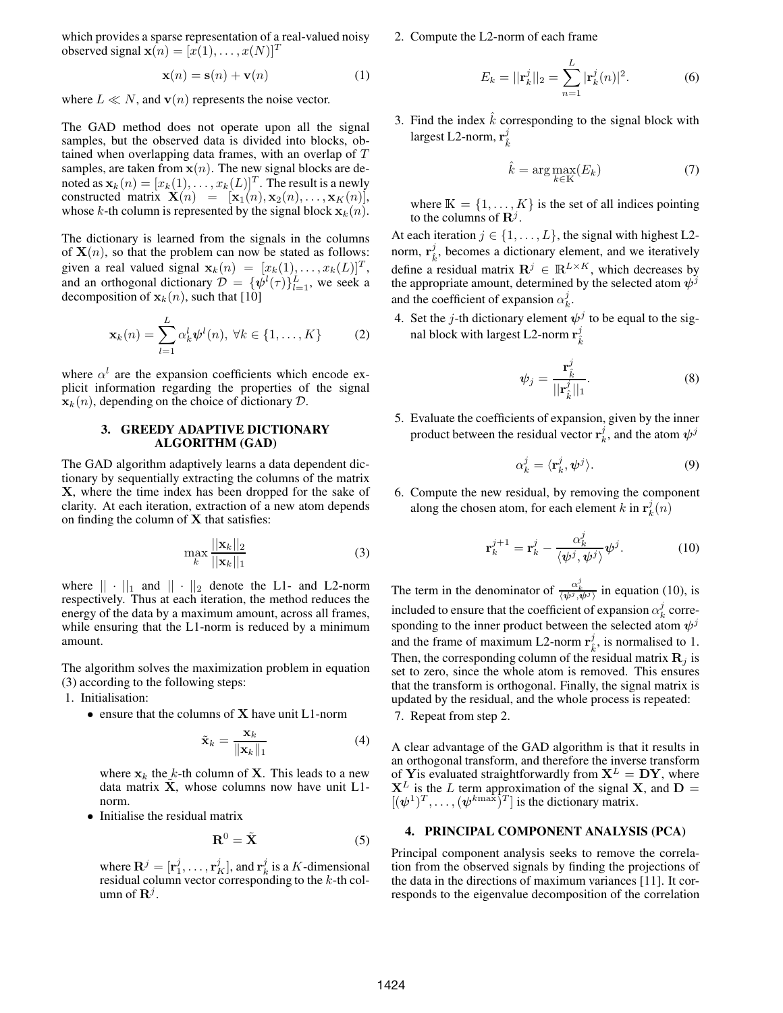which provides a sparse representation of a real-valued noisy observed signal  $\mathbf{x}(n) = [x(1), \dots, x(N)]^T$ 

$$
\mathbf{x}(n) = \mathbf{s}(n) + \mathbf{v}(n) \tag{1}
$$

where  $L \ll N$ , and  $\mathbf{v}(n)$  represents the noise vector.

The GAD method does not operate upon all the signal samples, but the observed data is divided into blocks, obtained when overlapping data frames, with an overlap of T samples, are taken from  $x(n)$ . The new signal blocks are denoted as  $\mathbf{x}_k(n) = [x_k(1), \dots, x_k(L)]^T$ . The result is a newly constructed matrix  $\mathbf{X}(n) = [\mathbf{x}_1(n), \mathbf{x}_2(n), \dots, \mathbf{x}_K(n)],$ whose k-th column is represented by the signal block  $x_k(n)$ .

The dictionary is learned from the signals in the columns of  $X(n)$ , so that the problem can now be stated as follows: given a real valued signal  $\mathbf{x}_k(n) = [x_k(1), \dots, x_k(L)]^T$ , and an orthogonal dictionary  $\mathcal{D} = {\psi^l(\tau)}_{l=1}^L$ , we seek a decomposition of  $\mathbf{x}_k(n)$ , such that [10]

$$
\mathbf{x}_{k}(n) = \sum_{l=1}^{L} \alpha_{k}^{l} \boldsymbol{\psi}^{l}(n), \ \forall k \in \{1, \ldots, K\}
$$
 (2)

where  $\alpha^{l}$  are the expansion coefficients which encode explicit information regarding the properties of the signal  $\mathbf{x}_k(n)$ , depending on the choice of dictionary  $\mathcal{D}$ .

### **3. GREEDY ADAPTIVE DICTIONARY ALGORITHM (GAD)**

The GAD algorithm adaptively learns a data dependent dictionary by sequentially extracting the columns of the matrix X, where the time index has been dropped for the sake of clarity. At each iteration, extraction of a new atom depends on finding the column of  $X$  that satisfies:

$$
\max_{k} \frac{||\mathbf{x}_{k}||_{2}}{||\mathbf{x}_{k}||_{1}} \tag{3}
$$

where  $|| \cdot ||_1$  and  $|| \cdot ||_2$  denote the L1- and L2-norm respectively. Thus at each iteration, the method reduces the energy of the data by a maximum amount, across all frames, while ensuring that the L1-norm is reduced by a minimum amount.

The algorithm solves the maximization problem in equation (3) according to the following steps:

- 1. Initialisation:
	- ensure that the columns of **X** have unit L1-norm

$$
\tilde{\mathbf{x}}_k = \frac{\mathbf{x}_k}{\|\mathbf{x}_k\|_1} \tag{4}
$$

where  $x_k$  the k-th column of **X**. This leads to a new data matrix  $X$ , whose columns now have unit L1norm.

• Initialise the residual matrix

$$
\mathbf{R}^0 = \tilde{\mathbf{X}} \tag{5}
$$

where  $\mathbf{R}^j = [\mathbf{r}_1^j, \dots, \mathbf{r}_K^j]$ , and  $\mathbf{r}_k^j$  is a K-dimensional residual column vector corresponding to the  $k$ -th column of  $\mathbf{R}^j$ .

2. Compute the L2-norm of each frame

$$
E_k = ||\mathbf{r}_k^j||_2 = \sum_{n=1}^L |\mathbf{r}_k^j(n)|^2.
$$
 (6)

3. Find the index  $k$  corresponding to the signal block with largest L2-norm,  $\mathbf{r}_{\hat{k}}^j$ 

$$
\hat{k} = \arg \max_{k \in \mathbb{K}} (E_k) \tag{7}
$$

where  $\mathbb{K} = \{1, \ldots, K\}$  is the set of all indices pointing to the columns of  $\mathbf{R}^j$ .

At each iteration  $j \in \{1, \ldots, L\}$ , the signal with highest L2norm,  $\mathbf{r}_{\hat{k}}^j$ , becomes a dictionary element, and we iteratively define a residual matrix  $\mathbf{R}^{j} \in \mathbb{R}^{L \times K}$ , which decreases by the appropriate amount, determined by the selected atom  $\psi^j$ and the coefficient of expansion  $\alpha_k^j$ .

4. Set the *j*-th dictionary element  $\psi^j$  to be equal to the signal block with largest L2-norm  $\mathbf{r}_{\hat{k}}^j$ 

$$
\psi_j = \frac{\mathbf{r}_{\hat{k}}^j}{||\mathbf{r}_{\hat{k}}^j||_1}.
$$
\n(8)

5. Evaluate the coefficients of expansion, given by the inner product between the residual vector  $\mathbf{r}_k^j$ , and the atom  $\psi^j$ 

$$
\alpha_k^j = \langle \mathbf{r}_k^j, \psi^j \rangle. \tag{9}
$$

6. Compute the new residual, by removing the component along the chosen atom, for each element  $k$  in  $\mathbf{r}_k^j(n)$ 

$$
\mathbf{r}_k^{j+1} = \mathbf{r}_k^j - \frac{\alpha_k^j}{\langle \psi^j, \psi^j \rangle} \psi^j.
$$
 (10)

The term in the denominator of  $\frac{\alpha_k^j}{\langle \psi^j, \psi^j \rangle}$  in equation (10), is included to ensure that the coefficient of expansion  $\alpha_k^j$  corresponding to the inner product between the selected atom  $\psi^j$ and the frame of maximum L2-norm  $\mathbf{r}_k^j$ , is normalised to 1. Then, the corresponding column of the residual matrix  $\mathbf{R}_i$  is set to zero, since the whole atom is removed. This ensures that the transform is orthogonal. Finally, the signal matrix is updated by the residual, and the whole process is repeated:

7. Repeat from step 2.

A clear advantage of the GAD algorithm is that it results in an orthogonal transform, and therefore the inverse transform of Yis evaluated straightforwardly from  $X^L = DY$ , where  $X^L$  is the L term approximation of the signal X, and D =  $[(\psi^1)^T, \ldots, (\psi^{k\max})^T]$  is the dictionary matrix.

## **4. PRINCIPAL COMPONENT ANALYSIS (PCA)**

Principal component analysis seeks to remove the correlation from the observed signals by finding the projections of the data in the directions of maximum variances [11]. It corresponds to the eigenvalue decomposition of the correlation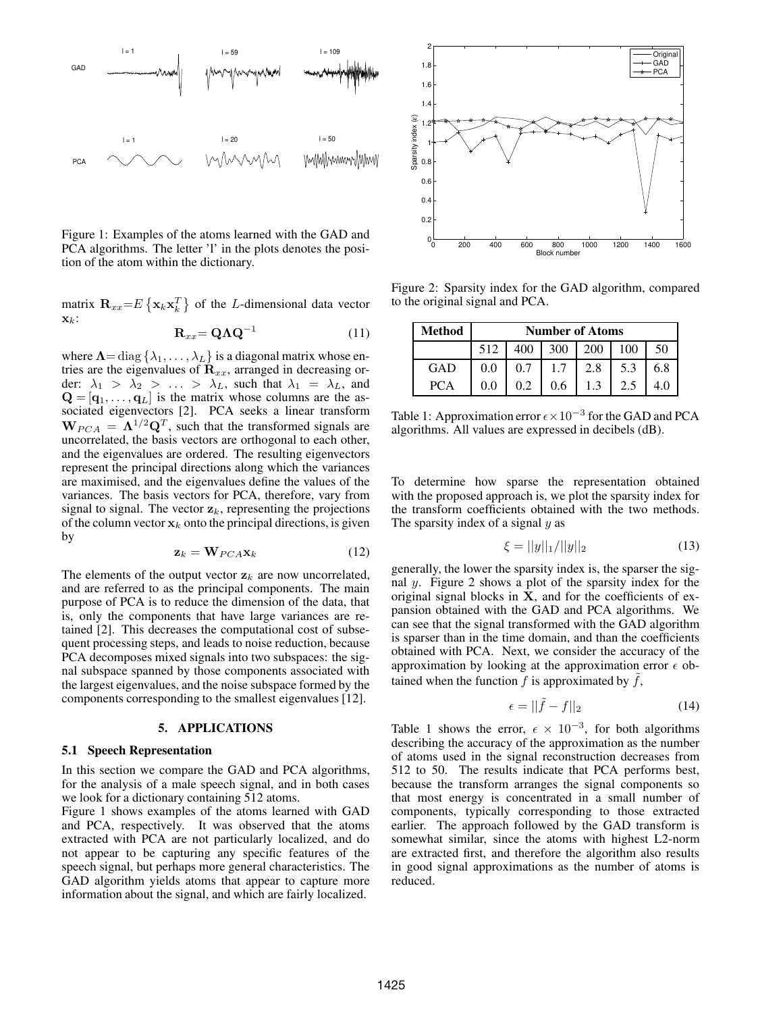

Figure 1: Examples of the atoms learned with the GAD and PCA algorithms. The letter 'l' in the plots denotes the position of the atom within the dictionary.

matrix  $\mathbf{R}_{xx} = E\left\{ \mathbf{x}_k \mathbf{x}_k^T \right\}$  of the *L*-dimensional data vector  $\mathbf{x}_k$ :

$$
\mathbf{R}_{xx} = \mathbf{Q}\Lambda \mathbf{Q}^{-1} \tag{11}
$$

where  $\Lambda = \text{diag} \{ \lambda_1, \ldots, \lambda_L \}$  is a diagonal matrix whose entries are the eigenvalues of  $\mathbf{R}_{xx}$ , arranged in decreasing order:  $\lambda_1 > \lambda_2 > \ldots > \lambda_L$ , such that  $\lambda_1 = \lambda_L$ , and  $\mathbf{Q} = [\mathbf{q}_1, \dots, \mathbf{q}_L]$  is the matrix whose columns are the associated eigenvectors [2]. PCA seeks a linear transform  $W_{PCA} = \Lambda^{1/2} Q^T$ , such that the transformed signals are uncorrelated, the basis vectors are orthogonal to each other, and the eigenvalues are ordered. The resulting eigenvectors represent the principal directions along which the variances are maximised, and the eigenvalues define the values of the variances. The basis vectors for PCA, therefore, vary from signal to signal. The vector  $z_k$ , representing the projections of the column vector  $x_k$  onto the principal directions, is given by

$$
\mathbf{z}_k = \mathbf{W}_{PCA}\mathbf{x}_k \tag{12}
$$

The elements of the output vector  $z_k$  are now uncorrelated, and are referred to as the principal components. The main purpose of PCA is to reduce the dimension of the data, that is, only the components that have large variances are retained [2]. This decreases the computational cost of subsequent processing steps, and leads to noise reduction, because PCA decomposes mixed signals into two subspaces: the signal subspace spanned by those components associated with the largest eigenvalues, and the noise subspace formed by the components corresponding to the smallest eigenvalues [12].

#### **5. APPLICATIONS**

#### **5.1 Speech Representation**

In this section we compare the GAD and PCA algorithms, for the analysis of a male speech signal, and in both cases we look for a dictionary containing 512 atoms.

Figure 1 shows examples of the atoms learned with GAD and PCA, respectively. It was observed that the atoms extracted with PCA are not particularly localized, and do not appear to be capturing any specific features of the speech signal, but perhaps more general characteristics. The GAD algorithm yields atoms that appear to capture more information about the signal, and which are fairly localized.



Figure 2: Sparsity index for the GAD algorithm, compared to the original signal and PCA.

| Method     | <b>Number of Atoms</b> |     |     |     |     |     |  |  |  |  |
|------------|------------------------|-----|-----|-----|-----|-----|--|--|--|--|
|            | 512                    | 400 | 300 | 200 | 100 | 50  |  |  |  |  |
| GAD        | 0.0                    | 0.7 | 1.7 | 2.8 | 5.3 | 6.8 |  |  |  |  |
| <b>PCA</b> | 0.0                    | 0.2 | 0.6 | 1.3 | 2.5 |     |  |  |  |  |

Table 1: Approximation error  $\epsilon \times 10^{-3}$  for the GAD and PCA algorithms. All values are expressed in decibels (dB).

To determine how sparse the representation obtained with the proposed approach is, we plot the sparsity index for the transform coefficients obtained with the two methods. The sparsity index of a signal  $y$  as

$$
\xi = ||y||_1 / ||y||_2 \tag{13}
$$

generally, the lower the sparsity index is, the sparser the signal y. Figure 2 shows a plot of the sparsity index for the original signal blocks in X, and for the coefficients of expansion obtained with the GAD and PCA algorithms. We can see that the signal transformed with the GAD algorithm is sparser than in the time domain, and than the coefficients obtained with PCA. Next, we consider the accuracy of the approximation by looking at the approximation error  $\epsilon$  obtained when the function f is approximated by  $\hat{f}$ ,

$$
\epsilon = ||\tilde{f} - f||_2 \tag{14}
$$

Table 1 shows the error,  $\epsilon \times 10^{-3}$ , for both algorithms describing the accuracy of the approximation as the number of atoms used in the signal reconstruction decreases from 512 to 50. The results indicate that PCA performs best, because the transform arranges the signal components so that most energy is concentrated in a small number of components, typically corresponding to those extracted earlier. The approach followed by the GAD transform is somewhat similar, since the atoms with highest L2-norm are extracted first, and therefore the algorithm also results in good signal approximations as the number of atoms is reduced.